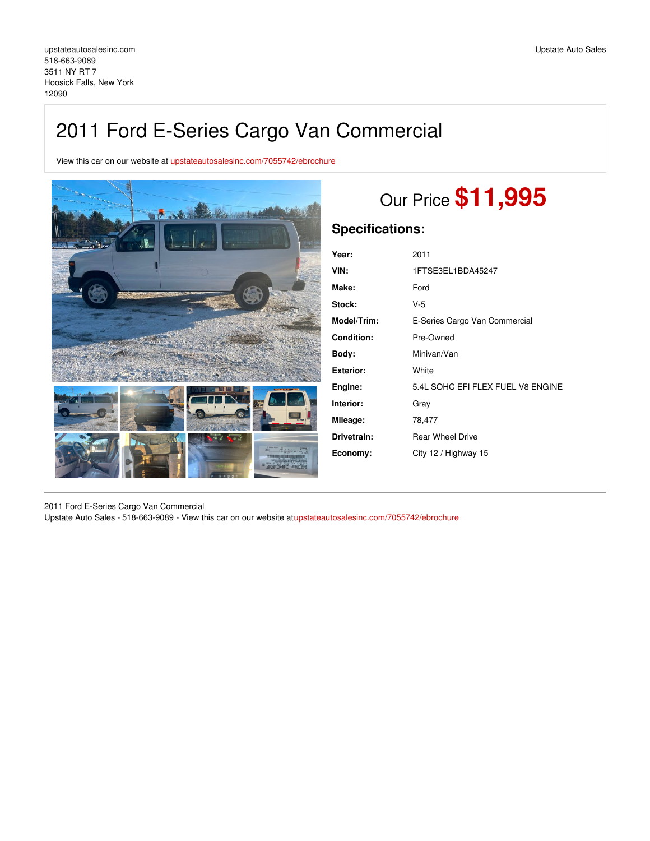## 2011 Ford E-Series Cargo Van Commercial

View this car on our website at [upstateautosalesinc.com/7055742/ebrochure](https://upstateautosalesinc.com/vehicle/7055742/2011-ford-e-series-cargo-van-commercial-hoosick-falls-new-york-12090/7055742/ebrochure)



# Our Price **\$11,995**

## **Specifications:**

| Year:              | 2011                              |
|--------------------|-----------------------------------|
| VIN:               | 1FTSE3EL1BDA45247                 |
| Make:              | Ford                              |
| Stock:             | V-5                               |
| <b>Model/Trim:</b> | E-Series Cargo Van Commercial     |
| <b>Condition:</b>  | Pre-Owned                         |
| Body:              | Minivan/Van                       |
| Exterior:          | White                             |
| Engine:            | 5.4L SOHC EFI FLEX FUEL V8 ENGINE |
| Interior:          | Gray                              |
| Mileage:           | 78,477                            |
| Drivetrain:        | <b>Rear Wheel Drive</b>           |
| Economy:           | City 12 / Highway 15              |
|                    |                                   |

2011 Ford E-Series Cargo Van Commercial Upstate Auto Sales - 518-663-9089 - View this car on our website a[tupstateautosalesinc.com/7055742/ebrochure](https://upstateautosalesinc.com/vehicle/7055742/2011-ford-e-series-cargo-van-commercial-hoosick-falls-new-york-12090/7055742/ebrochure)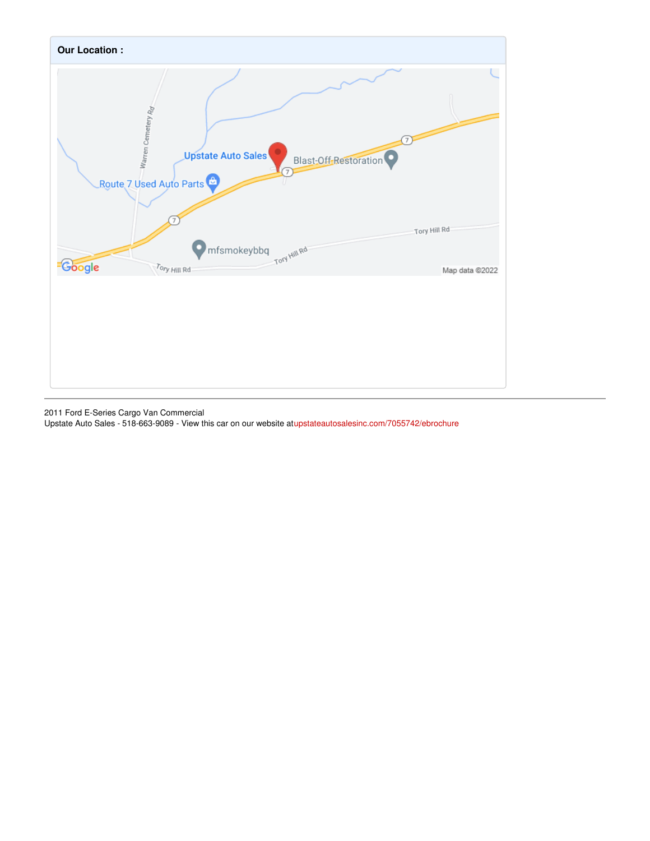

2011 Ford E-Series Cargo Van Commercial

Upstate Auto Sales - 518-663-9089 - View this car on our website a[tupstateautosalesinc.com/7055742/ebrochure](https://upstateautosalesinc.com/vehicle/7055742/2011-ford-e-series-cargo-van-commercial-hoosick-falls-new-york-12090/7055742/ebrochure)